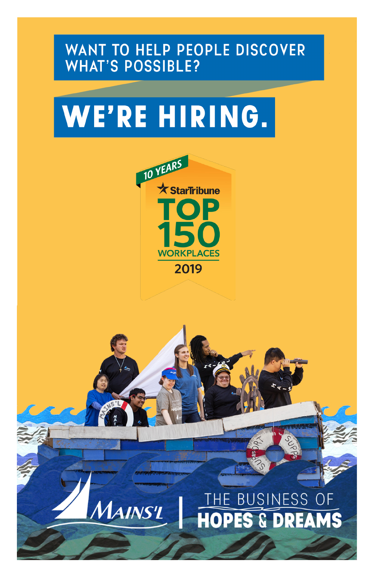#### WANT TO HELP PEOPLE DISCOVER **WHAT'S POSSIBLE?**

# WE'RE HIRING.



**MAINS'L** 

### THE BUSINESS OF **HOPES & DREAMS**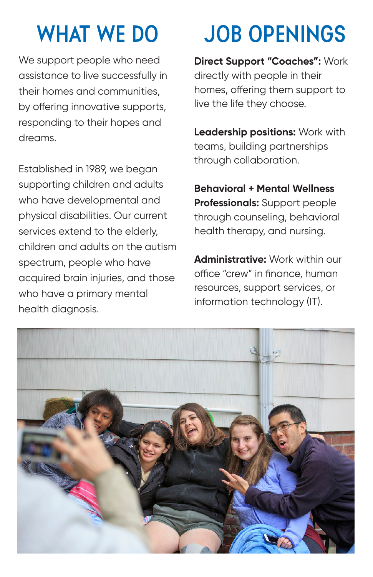We support people who need assistance to live successfully in their homes and communities, by offering innovative supports, responding to their hopes and dreams.

Established in 1989, we began supporting children and adults who have developmental and physical disabilities. Our current services extend to the elderly, children and adults on the autism spectrum, people who have acquired brain injuries, and those who have a primary mental health diagnosis.

# **WHAT WE DO JOB OPENINGS**

**Direct Support "Coaches":** Work directly with people in their homes, offering them support to live the life they choose.

**Leadership positions:** Work with teams, building partnerships through collaboration.

**Behavioral + Mental Wellness Professionals:** Support people through counseling, behavioral health therapy, and nursing.

**Administrative:** Work within our office "crew" in finance, human resources, support services, or information technology (IT).

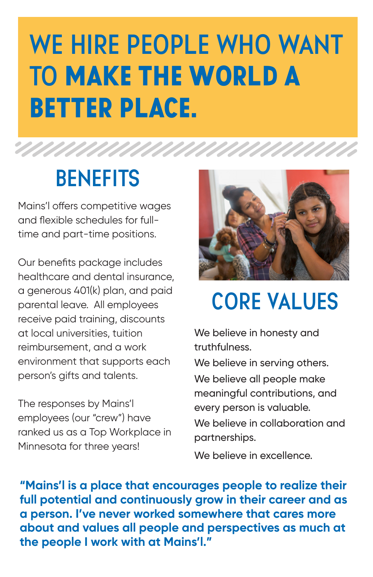# **WE HIRE PEOPLE WHO WANT TO** MAKE THE WORLD A BETTER PLACE.

## **BENEFITS**

Mains'l offers competitive wages and flexible schedules for fulltime and part-time positions.

Our benefits package includes healthcare and dental insurance, a generous 401(k) plan, and paid parental leave. All employees receive paid training, discounts at local universities, tuition reimbursement, and a work environment that supports each person's gifts and talents.

The responses by Mains'l employees (our "crew") have ranked us as a Top Workplace in Minnesota for three years!



## **CORE VALUES**

We believe in honesty and truthfulness.

We believe in serving others.

We believe all people make meaningful contributions, and every person is valuable.

We believe in collaboration and partnerships.

We believe in excellence.

**"Mains'l is a place that encourages people to realize their full potential and continuously grow in their career and as a person. I've never worked somewhere that cares more about and values all people and perspectives as much at the people I work with at Mains'l."**